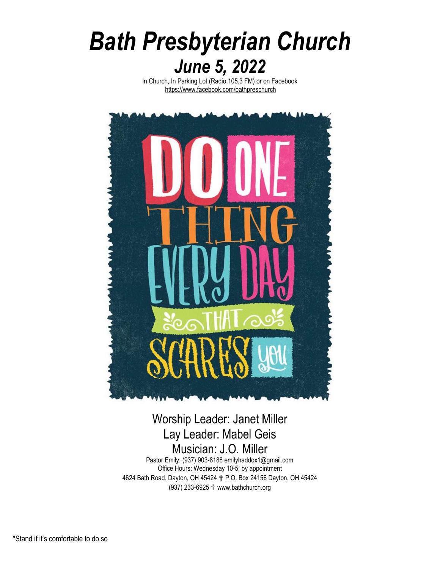# *Bath Presbyterian Church June 5, 2022*

In Church, In Parking Lot (Radio 105.3 FM) or on Facebook <https://www.facebook.com/bathpreschurch>



# Worship Leader: Janet Miller Lay Leader: Mabel Geis Musician: J.O. Miller

Pastor Emily: (937) 903-8188 emilyhaddox1@gmail.com Office Hours: Wednesday 10-5; by appointment 4624 Bath Road, Dayton, OH 45424 ✞ P.O. Box 24156 Dayton, OH 45424 (937) 233-6925 ✞ www.bathchurch.org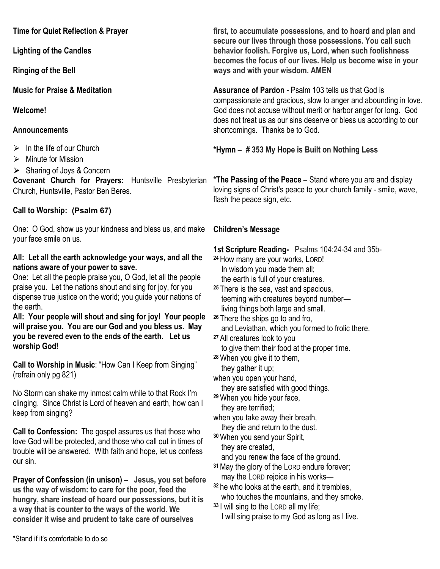**Time for Quiet Reflection & Prayer**

**Lighting of the Candles**

**Ringing of the Bell** 

**Music for Praise & Meditation**

**Welcome!**

## **Announcements**

 $\triangleright$  In the life of our Church

 $\triangleright$  Minute for Mission

 $\triangleright$  Sharing of Joys & Concern

**Covenant Church for Prayers:** Huntsville Presbyterian Church, Huntsville, Pastor Ben Beres.

# **Call to Worship: (Psalm 67)**

One: O God, show us your kindness and bless us, and make your face smile on us.

# **All: Let all the earth acknowledge your ways, and all the nations aware of your power to save.**

One: Let all the people praise you, O God, let all the people praise you. Let the nations shout and sing for joy, for you dispense true justice on the world; you guide your nations of the earth.

**All: Your people will shout and sing for joy! Your people will praise you. You are our God and you bless us. May you be revered even to the ends of the earth. Let us worship God!**

**Call to Worship in Music**: "How Can I Keep from Singing" (refrain only pg 821)

No Storm can shake my inmost calm while to that Rock I'm clinging. Since Christ is Lord of heaven and earth, how can I keep from singing?

**Call to Confession:** The gospel assures us that those who love God will be protected, and those who call out in times of trouble will be answered. With faith and hope, let us confess our sin.

**Prayer of Confession (in unison) – Jesus, you set before us the way of wisdom: to care for the poor, feed the hungry, share instead of hoard our possessions, but it is a way that is counter to the ways of the world. We consider it wise and prudent to take care of ourselves** 

**first, to accumulate possessions, and to hoard and plan and secure our lives through those possessions. You call such behavior foolish. Forgive us, Lord, when such foolishness becomes the focus of our lives. Help us become wise in your ways and with your wisdom. AMEN**

**Assurance of Pardon** - Psalm 103 tells us that God is compassionate and gracious, slow to anger and abounding in love. God does not accuse without merit or harbor anger for long. God does not treat us as our sins deserve or bless us according to our shortcomings. Thanks be to God.

**\*Hymn – # 353 My Hope is Built on Nothing Less**

**\*The Passing of the Peace –** Stand where you are and display loving signs of Christ's peace to your church family - smile, wave, flash the peace sign, etc.

# **Children's Message**

**1st Scripture Reading-** Psalms 104:24-34 and 35b-

- **<sup>24</sup>** How many are your works, LORD! In wisdom you made them all; the earth is full of your creatures.
- **<sup>25</sup>** There is the sea, vast and spacious, teeming with creatures beyond number living things both large and small.
- **<sup>26</sup>** There the ships go to and fro, and Leviathan, which you formed to frolic there.
- **<sup>27</sup>** All creatures look to you to give them their food at the proper time.
- **<sup>28</sup>**When you give it to them,

they gather it up;

when you open your hand, they are satisfied with good things.

**<sup>29</sup>**When you hide your face, they are terrified;

when you take away their breath,

they die and return to the dust.

**<sup>30</sup>**When you send your Spirit, they are created,

and you renew the face of the ground.

- **<sup>31</sup>**May the glory of the LORD endure forever; may the LORD rejoice in his works—
- **<sup>32</sup>** he who looks at the earth, and it trembles, who touches the mountains, and they smoke.
- **<sup>33</sup>** I will sing to the LORD all my life; I will sing praise to my God as long as I live.